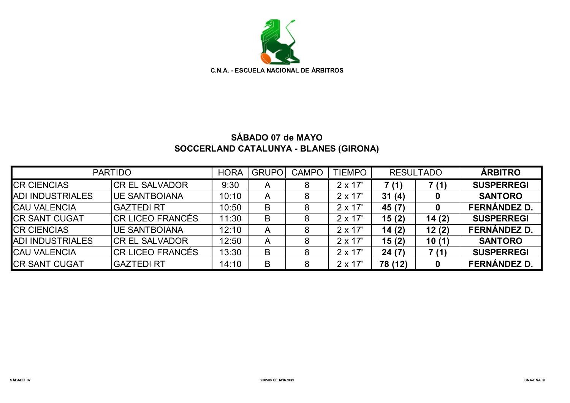

## **SÁBADO 07 de MAYO SOCCERLAND CATALUNYA - BLANES (GIRONA)**

| <b>PARTIDO</b>          |                       | <b>HORA</b> | <b>GRUPO</b> | <b>CAMPO</b> | <b>TIEMPO</b>  | <b>RESULTADO</b> |       | <b>ÁRBITRO</b>      |
|-------------------------|-----------------------|-------------|--------------|--------------|----------------|------------------|-------|---------------------|
| <b>CR CIENCIAS</b>      | <b>CR EL SALVADOR</b> | 9:30        | A            | 8            | $2 \times 17'$ | 7(1)             | 7(1)  | <b>SUSPERREGI</b>   |
| <b>ADI INDUSTRIALES</b> | <b>UE SANTBOIANA</b>  | 10:10       | A            |              | $2 \times 17'$ | 31(4)            | 0     | <b>SANTORO</b>      |
| <b>CAU VALENCIA</b>     | <b>GAZTEDI RT</b>     | 10:50       | В            |              | $2 \times 17'$ | 45 (7)           | 0     | <b>FERNÁNDEZ D.</b> |
| <b>ICR SANT CUGAT</b>   | ICR LICEO FRANCÉS     | 11:30       | В            |              | $2 \times 17'$ | 15(2)            | 14(2) | <b>SUSPERREGI</b>   |
| <b>CR CIENCIAS</b>      | <b>UE SANTBOIANA</b>  | 12:10       | A            |              | $2 \times 17'$ | 14(2)            | 12(2) | <b>FERNÁNDEZ D.</b> |
| <b>ADI INDUSTRIALES</b> | ICR EL SALVADOR       | 12:50       | A            | 8            | $2 \times 17'$ | 15(2)            | 10(1) | <b>SANTORO</b>      |
| <b>CAU VALENCIA</b>     | ICR LICEO FRANCÉS     | 13:30       | B            | 8            | $2 \times 17'$ | 24(7)            | 7(1)  | <b>SUSPERREGI</b>   |
| <b>CR SANT CUGAT</b>    | <b>GAZTEDI RT</b>     | 14:10       | B            | 8            | $2 \times 17'$ | 78 (12)          | 0     | <b>FERNÁNDEZ D.</b> |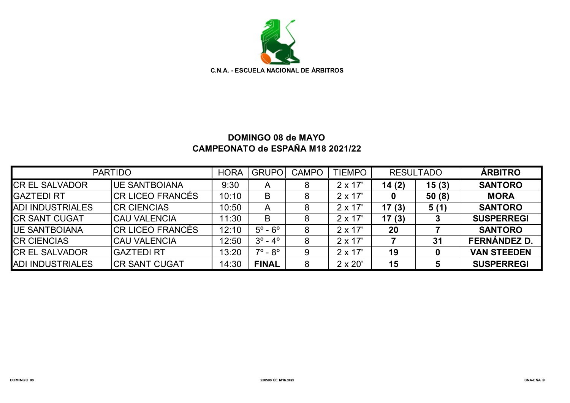

## **DOMINGO 08 de MAYO CAMPEONATO de ESPAÑA M18 2021/22**

| <b>PARTIDO</b>          |                      | <b>HORA</b> | <b>GRUPO</b>              | <b>CAMPO</b> | <b>TIEMPO</b>  | <b>RESULTADO</b> |       | <b>ÁRBITRO</b>      |
|-------------------------|----------------------|-------------|---------------------------|--------------|----------------|------------------|-------|---------------------|
| <b>CREL SALVADOR</b>    | <b>UE SANTBOIANA</b> | 9:30        | A                         | 8            | $2 \times 17'$ | 14(2)            | 15(3) | <b>SANTORO</b>      |
| <b>GAZTEDI RT</b>       | ICR LICEO FRANCÉS    | 10:10       | B                         | 8            | $2 \times 17'$ |                  | 50(8) | <b>MORA</b>         |
| <b>ADI INDUSTRIALES</b> | <b>CR CIENCIAS</b>   | 10:50       | A                         | 8            | $2 \times 17'$ | 17(3)            | 5(1)  | <b>SANTORO</b>      |
| <b>CR SANT CUGAT</b>    | <b>CAU VALENCIA</b>  | 11:30       | B                         |              | $2 \times 17'$ | 17(3)            |       | <b>SUSPERREGI</b>   |
| <b>UE SANTBOIANA</b>    | ICR LICEO FRANCÉS    | 12:10       | $5^\circ$ - $6^\circ$     | 8            | $2 \times 17'$ | 20               |       | <b>SANTORO</b>      |
| <b>CR CIENCIAS</b>      | <b>CAU VALENCIA</b>  | 12:50       | $3^{\circ}$ - $4^{\circ}$ | 8            | $2 \times 17'$ |                  | 31    | <b>FERNÁNDEZ D.</b> |
| <b>CR EL SALVADOR</b>   | <b>GAZTEDI RT</b>    | 13:20       | $7^{\circ}$ - $8^{\circ}$ | 9            | $2 \times 17'$ | 19               |       | <b>VAN STEEDEN</b>  |
| <b>ADI INDUSTRIALES</b> | <b>CR SANT CUGAT</b> | 14:30       | <b>FINAL</b>              | 8            | $2 \times 20'$ | 15               |       | <b>SUSPERREGI</b>   |